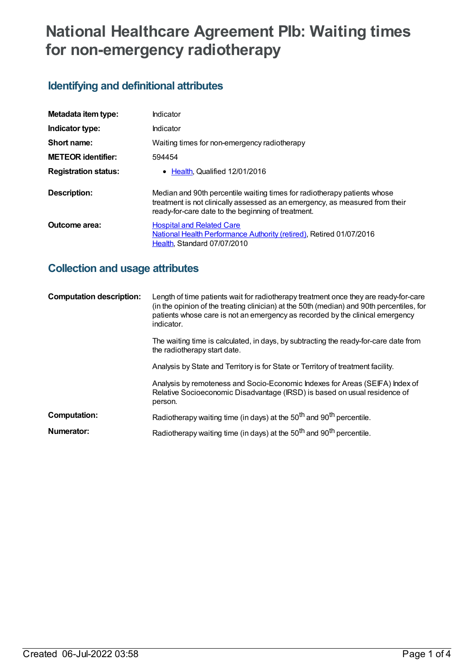# **National Healthcare Agreement PIb: Waiting times for non-emergency radiotherapy**

# **Identifying and definitional attributes**

| Metadata item type:         | Indicator                                                                                                                                                                                                      |
|-----------------------------|----------------------------------------------------------------------------------------------------------------------------------------------------------------------------------------------------------------|
| Indicator type:             | Indicator                                                                                                                                                                                                      |
| Short name:                 | Waiting times for non-emergency radiotherapy                                                                                                                                                                   |
| <b>METEOR identifier:</b>   | 594454                                                                                                                                                                                                         |
| <b>Registration status:</b> | • Health, Qualified 12/01/2016                                                                                                                                                                                 |
| Description:                | Median and 90th percentile waiting times for radiotherapy patients whose<br>treatment is not clinically assessed as an emergency, as measured from their<br>ready-for-care date to the beginning of treatment. |
| <b>Outcome area:</b>        | <b>Hospital and Related Care</b><br>National Health Performance Authority (retired), Retired 01/07/2016<br>Health, Standard 07/07/2010                                                                         |

## **Collection and usage attributes**

| <b>Computation description:</b> | Length of time patients wait for radiotherapy treatment once they are ready-for-care<br>(in the opinion of the treating clinician) at the 50th (median) and 90th percentiles, for<br>patients whose care is not an emergency as recorded by the clinical emergency<br>indicator. |
|---------------------------------|----------------------------------------------------------------------------------------------------------------------------------------------------------------------------------------------------------------------------------------------------------------------------------|
|                                 | The waiting time is calculated, in days, by subtracting the ready-for-care date from<br>the radiotherapy start date.                                                                                                                                                             |
|                                 | Analysis by State and Territory is for State or Territory of treatment facility.                                                                                                                                                                                                 |
|                                 | Analysis by remoteness and Socio-Economic Indexes for Areas (SEIFA) Index of<br>Relative Socioeconomic Disadvantage (IRSD) is based on usual residence of<br>person.                                                                                                             |
| Computation:                    | Radiotherapy waiting time (in days) at the 50 <sup>th</sup> and 90 <sup>th</sup> percentile.                                                                                                                                                                                     |
| Numerator:                      | Radiotherapy waiting time (in days) at the 50 <sup>th</sup> and 90 <sup>th</sup> percentile.                                                                                                                                                                                     |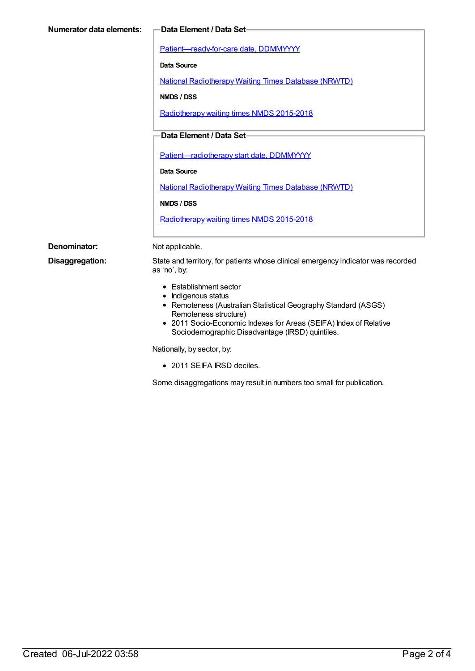| <b>Numerator data elements:</b> | Data Element / Data Set-                                                                                                                                                                                                                                                                       |  |
|---------------------------------|------------------------------------------------------------------------------------------------------------------------------------------------------------------------------------------------------------------------------------------------------------------------------------------------|--|
|                                 | Patient-ready-for-care date, DDMMYYYY                                                                                                                                                                                                                                                          |  |
|                                 | Data Source                                                                                                                                                                                                                                                                                    |  |
|                                 | <b>National Radiotherapy Waiting Times Database (NRWTD)</b>                                                                                                                                                                                                                                    |  |
|                                 | NMDS / DSS                                                                                                                                                                                                                                                                                     |  |
|                                 | Radiotherapy waiting times NMDS 2015-2018                                                                                                                                                                                                                                                      |  |
|                                 | Data Element / Data Set-<br>Patient-radiotherapy start date, DDMMYYYY<br><b>Data Source</b>                                                                                                                                                                                                    |  |
|                                 |                                                                                                                                                                                                                                                                                                |  |
|                                 |                                                                                                                                                                                                                                                                                                |  |
|                                 | <b>National Radiotherapy Waiting Times Database (NRWTD)</b>                                                                                                                                                                                                                                    |  |
|                                 | NMDS / DSS<br>Radiotherapy waiting times NMDS 2015-2018                                                                                                                                                                                                                                        |  |
|                                 |                                                                                                                                                                                                                                                                                                |  |
| Denominator:                    | Not applicable.                                                                                                                                                                                                                                                                                |  |
| Disaggregation:                 | State and territory, for patients whose clinical emergency indicator was recorded<br>as 'no', by:                                                                                                                                                                                              |  |
|                                 | • Establishment sector<br>• Indigenous status<br>• Remoteness (Australian Statistical Geography Standard (ASGS)<br>Remoteness structure)<br>• 2011 Socio-Economic Indexes for Areas (SEIFA) Index of Relative<br>Sociodemographic Disadvantage (IRSD) quintiles.<br>Nationally, by sector, by: |  |
|                                 |                                                                                                                                                                                                                                                                                                |  |

• 2011 SEIFA IRSD deciles.

Some disaggregations may result in numbers too small for publication.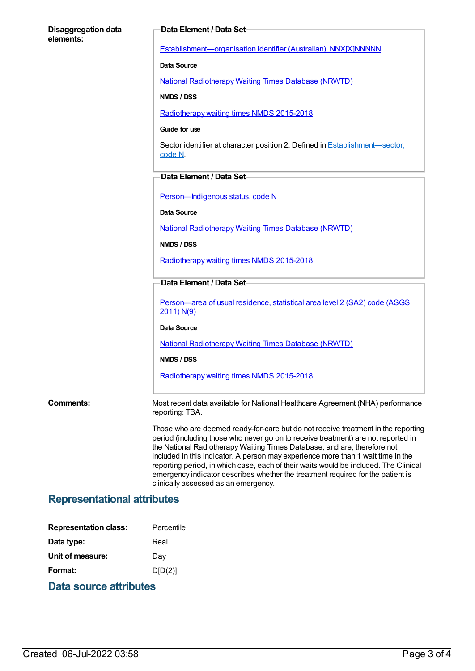#### **Disaggregation data elements:**

#### **Data Element / Data Set**

[Establishment—organisation](https://meteor.aihw.gov.au/content/269973) identifier (Australian), NNX[X]NNNNN

**Data Source**

National [Radiotherapy](https://meteor.aihw.gov.au/content/598445) Waiting Times Database (NRWTD)

**NMDS / DSS**

[Radiotherapy](https://meteor.aihw.gov.au/content/579304) waiting times NMDS 2015-2018

#### **Guide for use**

Sector identifier at character position 2. Defined in [Establishment—sector,](file:///content/269977) code N.

#### **Data Element / Data Set**

Person-Indigenous status, code N

**Data Source**

National [Radiotherapy](https://meteor.aihw.gov.au/content/598445) Waiting Times Database (NRWTD)

**NMDS / DSS**

[Radiotherapy](https://meteor.aihw.gov.au/content/579304) waiting times NMDS 2015-2018

#### **Data Element / Data Set**

[Person—area](https://meteor.aihw.gov.au/content/469909) of usual residence, statistical area level 2 (SA2) code (ASGS 2011) N(9)

#### **Data Source**

National [Radiotherapy](https://meteor.aihw.gov.au/content/598445) Waiting Times Database (NRWTD)

**NMDS / DSS**

[Radiotherapy](https://meteor.aihw.gov.au/content/579304) waiting times NMDS 2015-2018

**Comments:** Most recent data available for National Healthcare Agreement (NHA) performance reporting: TBA.

> Those who are deemed ready-for-care but do not receive treatment in the reporting period (including those who never go on to receive treatment) are not reported in the National Radiotherapy Waiting Times Database, and are, therefore not included in this indicator. A person may experience more than 1 wait time in the reporting period, in which case, each of their waits would be included. The Clinical emergency indicator describes whether the treatment required for the patient is clinically assessed as an emergency.

#### **Representational attributes**

| <b>Representation class:</b> | Percentile |
|------------------------------|------------|
| Data type:                   | Real       |
| Unit of measure:             | Dav        |
| Format:                      | D[D(2)]    |
|                              |            |

### **Data source attributes**